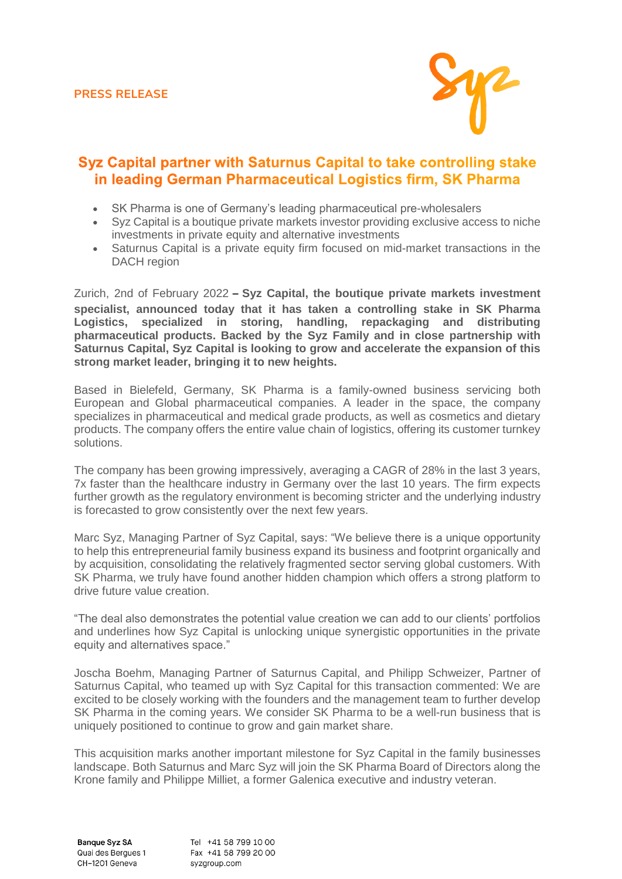

## Syz Capital partner with Saturnus Capital to take controlling stake in leading German Pharmaceutical Logistics firm. SK Pharma

- SK Pharma is one of Germany's leading pharmaceutical pre-wholesalers
- Syz Capital is a boutique private markets investor providing exclusive access to niche investments in private equity and alternative investments
- Saturnus Capital is a private equity firm focused on mid-market transactions in the DACH region

Zurich, 2nd of February 2022 **– Syz Capital, the boutique private markets investment specialist, announced today that it has taken a controlling stake in SK Pharma Logistics, specialized in storing, handling, repackaging and distributing pharmaceutical products. Backed by the Syz Family and in close partnership with Saturnus Capital, Syz Capital is looking to grow and accelerate the expansion of this strong market leader, bringing it to new heights.**

Based in Bielefeld, Germany, SK Pharma is a family-owned business servicing both European and Global pharmaceutical companies. A leader in the space, the company specializes in pharmaceutical and medical grade products, as well as cosmetics and dietary products. The company offers the entire value chain of logistics, offering its customer turnkey solutions.

The company has been growing impressively, averaging a CAGR of 28% in the last 3 years, 7x faster than the healthcare industry in Germany over the last 10 years. The firm expects further growth as the regulatory environment is becoming stricter and the underlying industry is forecasted to grow consistently over the next few years.

Marc Syz, Managing Partner of Syz Capital, says: "We believe there is a unique opportunity to help this entrepreneurial family business expand its business and footprint organically and by acquisition, consolidating the relatively fragmented sector serving global customers. With SK Pharma, we truly have found another hidden champion which offers a strong platform to drive future value creation.

"The deal also demonstrates the potential value creation we can add to our clients' portfolios and underlines how Syz Capital is unlocking unique synergistic opportunities in the private equity and alternatives space."

Joscha Boehm, Managing Partner of Saturnus Capital, and Philipp Schweizer, Partner of Saturnus Capital, who teamed up with Syz Capital for this transaction commented: We are excited to be closely working with the founders and the management team to further develop SK Pharma in the coming years. We consider SK Pharma to be a well-run business that is uniquely positioned to continue to grow and gain market share.

This acquisition marks another important milestone for Syz Capital in the family businesses landscape. Both Saturnus and Marc Syz will join the SK Pharma Board of Directors along the Krone family and Philippe Milliet, a former Galenica executive and industry veteran.

Banque Syz SA Quai des Bergues 1 CH-1201 Geneva

Tel +41 58 799 10 00 Fax +41 58 799 20 00 syzgroup.com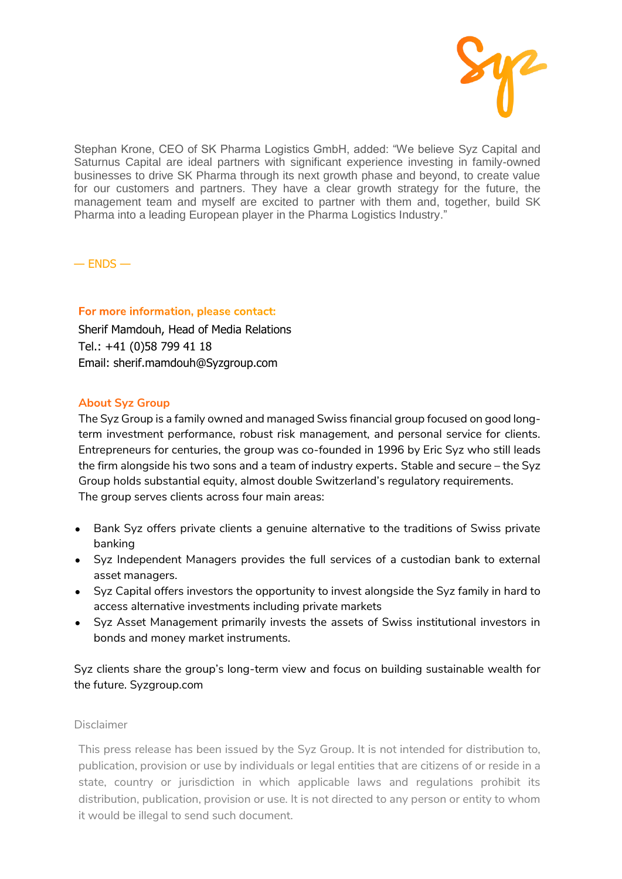

Stephan Krone, CEO of SK Pharma Logistics GmbH, added: "We believe Syz Capital and Saturnus Capital are ideal partners with significant experience investing in family-owned businesses to drive SK Pharma through its next growth phase and beyond, to create value for our customers and partners. They have a clear growth strategy for the future, the management team and myself are excited to partner with them and, together, build SK Pharma into a leading European player in the Pharma Logistics Industry."

 $-$  ENDS  $-$ 

## For more information, please contact:

Sherif Mamdouh, Head of Media Relations Tel.: +41 (0)58 799 41 18 Email: sherif.mamdouh@Syzgroup.com

## **About Syz Group**

The Syz Group is a family owned and managed Swiss financial group focused on good longterm investment performance, robust risk management, and personal service for clients. Entrepreneurs for centuries, the group was co-founded in 1996 by Eric Syz who still leads the firm alongside his two sons and a team of industry experts. Stable and secure – the Syz Group holds substantial equity, almost double Switzerland's regulatory requirements. The group serves clients across four main areas:

- Bank Syz offers private clients a genuine alternative to the traditions of Swiss private banking
- Syz Independent Managers provides the full services of a custodian bank to external asset managers.
- Syz Capital offers investors the opportunity to invest alongside the Syz family in hard to access alternative investments including private markets
- Syz Asset Management primarily invests the assets of Swiss institutional investors in bonds and money market instruments.

Syz clients share the group's long-term view and focus on building sustainable wealth for the future. Syzgroup.com

## Disclaimer

This press release has been issued by the Syz Group. It is not intended for distribution to, publication, provision or use by individuals or legal entities that are citizens of or reside in a state, country or jurisdiction in which applicable laws and regulations prohibit its distribution, publication, provision or use. It is not directed to any person or entity to whom it would be illegal to send such document.